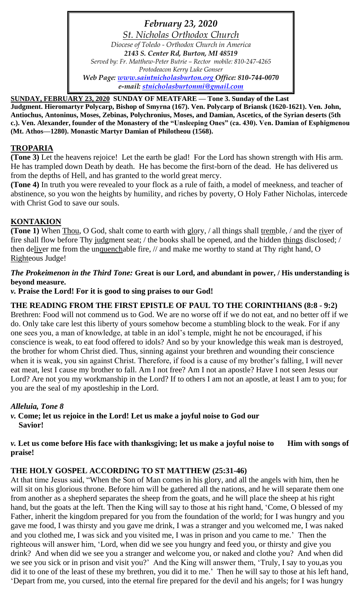*February 23, 2020 St. Nicholas Orthodox Church Diocese of Toledo - Orthodox Church in America 2143 S. Center Rd, Burton, MI 48519 Served by: Fr. Matthew-Peter Butrie – Rector mobile: 810-247-4265 Protodeacon Kerry Luke Gonser Web Page: [www.saintnicholasburton.org](http://www.saintnicholasburton.org/) Office: 810-744-0070 e-mail: [stnicholasburtonmi@gmail.com](mailto:stnicholasburtonmi@gmail.com)*

**SUNDAY, FEBRUARY 23, 2020 SUNDAY OF MEATFARE — Tone 3. Sunday of the Last** 

**Judgment. Hieromartyr Polycarp, Bishop of Smyrna (167). Ven. Polycarp of Briansk (1620-1621). Ven. John, Antiochus, Antoninus, Moses, Zebinas, Polychronius, Moses, and Damian, Ascetics, of the Syrian deserts (5th c.). Ven. Alexander, founder of the Monastery of the "Unsleeping Ones" (ca. 430). Ven. Damian of Esphigmenou (Mt. Athos—1280). Monastic Martyr Damian of Philotheou (1568).**

## **TROPARIA**

**(Tone 3)** Let the heavens rejoice! Let the earth be glad! For the Lord has shown strength with His arm. He has trampled down Death by death. He has become the first-born of the dead. He has delivered us from the depths of Hell, and has granted to the world great mercy.

**(Tone 4)** In truth you were revealed to your flock as a rule of faith, a model of meekness, and teacher of abstinence, so you won the heights by humility, and riches by poverty, O Holy Father Nicholas, intercede with Christ God to save our souls.

## **KONTAKION**

**(Tone 1)** When Thou, O God, shalt come to earth with glory, / all things shall tremble, / and the river of fire shall flow before Thy judgment seat; / the books shall be opened, and the hidden things disclosed; / then deliver me from the unquenchable fire, // and make me worthy to stand at Thy right hand, O Righteous Judge!

## *The Prokeimenon in the Third Tone:* **Great is our Lord, and abundant in power, / His understanding is beyond measure.**

### *v.* **Praise the Lord! For it is good to sing praises to our God!**

## **THE READING FROM THE FIRST EPISTLE OF PAUL TO THE CORINTHIANS (8:8 - 9:2)**

Brethren: Food will not commend us to God. We are no worse off if we do not eat, and no better off if we do. Only take care lest this liberty of yours somehow become a stumbling block to the weak. For if any one sees you, a man of knowledge, at table in an idol's temple, might he not be encouraged, if his conscience is weak, to eat food offered to idols? And so by your knowledge this weak man is destroyed, the brother for whom Christ died. Thus, sinning against your brethren and wounding their conscience when it is weak, you sin against Christ. Therefore, if food is a cause of my brother's falling, I will never eat meat, lest I cause my brother to fall. Am I not free? Am I not an apostle? Have I not seen Jesus our Lord? Are not you my workmanship in the Lord? If to others I am not an apostle, at least I am to you; for you are the seal of my apostleship in the Lord.

## *Alleluia, Tone 8*

*v.* **Come; let us rejoice in the Lord! Let us make a joyful noise to God our Savior!**

### *v*. Let us come before His face with thanksgiving; let us make a joyful noise to Him with songs of **praise!**

## **THE HOLY GOSPEL ACCORDING TO ST MATTHEW (25:31-46)**

At that time Jesus said, "When the Son of Man comes in his glory, and all the angels with him, then he will sit on his glorious throne. Before him will be gathered all the nations, and he will separate them one from another as a shepherd separates the sheep from the goats, and he will place the sheep at his right hand, but the goats at the left. Then the King will say to those at his right hand, 'Come, O blessed of my Father, inherit the kingdom prepared for you from the foundation of the world; for I was hungry and you gave me food, I was thirsty and you gave me drink, I was a stranger and you welcomed me, I was naked and you clothed me, I was sick and you visited me, I was in prison and you came to me.' Then the righteous will answer him, 'Lord, when did we see you hungry and feed you, or thirsty and give you drink? And when did we see you a stranger and welcome you, or naked and clothe you? And when did we see you sick or in prison and visit you?' And the King will answer them, 'Truly, I say to you,as you did it to one of the least of these my brethren, you did it to me.' Then he will say to those at his left hand, 'Depart from me, you cursed, into the eternal fire prepared for the devil and his angels; for I was hungry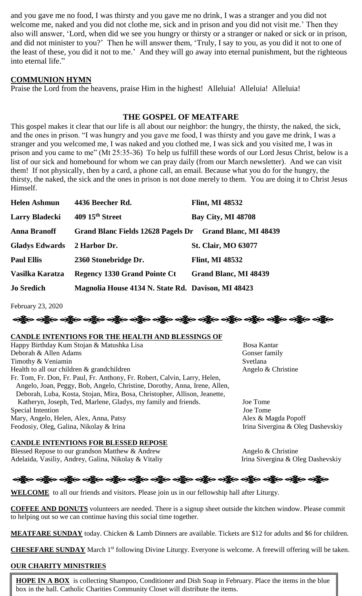and you gave me no food, I was thirsty and you gave me no drink, I was a stranger and you did not welcome me, naked and you did not clothe me, sick and in prison and you did not visit me.' Then they also will answer, 'Lord, when did we see you hungry or thirsty or a stranger or naked or sick or in prison, and did not minister to you?' Then he will answer them, 'Truly, I say to you, as you did it not to one of the least of these, you did it not to me.' And they will go away into eternal punishment, but the righteous into eternal life."

## **COMMUNION HYMN**

Praise the Lord from the heavens, praise Him in the highest! Alleluia! Alleluia! Alleluia!

## **THE GOSPEL OF MEATFARE**

This gospel makes it clear that our life is all about our neighbor: the hungry, the thirsty, the naked, the sick, and the ones in prison. "I was hungry and you gave me food, I was thirsty and you gave me drink, I was a stranger and you welcomed me, I was naked and you clothed me, I was sick and you visited me, I was in prison and you came to me" (Mt 25:35-36) To help us fulfill these words of our Lord Jesus Christ, below is a list of our sick and homebound for whom we can pray daily (from our March newsletter). And we can visit them! If not physically, then by a card, a phone call, an email. Because what you do for the hungry, the thirsty, the naked, the sick and the ones in prison is not done merely to them. You are doing it to Christ Jesus Himself.

| <b>Helen Ashmun</b>   | 4436 Beecher Rd.                                   | <b>Flint, MI 48532</b>     |
|-----------------------|----------------------------------------------------|----------------------------|
| <b>Larry Bladecki</b> | 409 15 <sup>th</sup> Street                        | <b>Bay City, MI 48708</b>  |
| <b>Anna Branoff</b>   | <b>Grand Blanc Fields 12628 Pagels Dr</b>          | Grand Blanc, MI 48439      |
| <b>Gladys Edwards</b> | 2 Harbor Dr.                                       | <b>St. Clair, MO 63077</b> |
| <b>Paul Ellis</b>     | 2360 Stonebridge Dr.                               | <b>Flint, MI 48532</b>     |
| Vasilka Karatza       | <b>Regency 1330 Grand Pointe Ct</b>                | Grand Blanc, MI 48439      |
| <b>Jo Sredich</b>     | Magnolia House 4134 N. State Rd. Davison, MI 48423 |                            |

February 23, 2020



#### **CANDLE INTENTIONS FOR THE HEALTH AND BLESSINGS OF**

Happy Birthday Kum Stojan & Matushka Lisa **Bosa Kantar** Bosa Kantar Deborah & Allen Adams Gonser family Timothy & Veniamin Svetlana Health to all our children & grandchildren Angelo & Christine Fr. Tom, Fr. Don, Fr. Paul, Fr. Anthony, Fr. Robert, Calvin, Larry, Helen, Angelo, Joan, Peggy, Bob, Angelo, Christine, Dorothy, Anna, Irene, Allen, Deborah, Luba, Kosta, Stojan, Mira, Bosa, Christopher, Allison, Jeanette, Katheryn, Joseph, Ted, Marlene, Gladys, my family and friends. Joe Tome Special Intention Joe Tome Mary, Angelo, Helen, Alex, Anna, Patsy Alex & Magda Popoff Feodosiy, Oleg, Galina, Nikolay & Irina **Irina Irina Irina Irina Sivergina & Oleg Da**shevskiy

#### **CANDLE INTENTIONS FOR BLESSED REPOSE**

Blessed Repose to our grandson Matthew & Andrew Angelo & Christine Adelaida, Vasiliy, Andrey, Galina, Nikolay & Vitaliy Irina Sivergina & Oleg Dashevskiy

# ခရွိက ခရွိက ခရွိက ခရွိက ခရွိက ခရွိက ခရွိက ခရွိက ခရွိက ခရွိက ခရွိက ခရွိက ခရွိက ခရွိက ခရွိက

**WELCOME** to all our friends and visitors. Please join us in our fellowship hall after Liturgy.

**COFFEE AND DONUTS** volunteers are needed. There is a signup sheet outside the kitchen window. Please commit to helping out so we can continue having this social time together.

**MEATFARE SUNDAY** today. Chicken & Lamb Dinners are available. Tickets are \$12 for adults and \$6 for children.

**CHESEFARE SUNDAY** March 1<sup>st</sup> following Divine Liturgy. Everyone is welcome. A freewill offering will be taken.

#### **OUR CHARITY MINISTRIES**

**HOPE IN A BOX** is collecting Shampoo, Conditioner and Dish Soap in February. Place the items in the blue box in the hall. Catholic Charities Community Closet will distribute the items.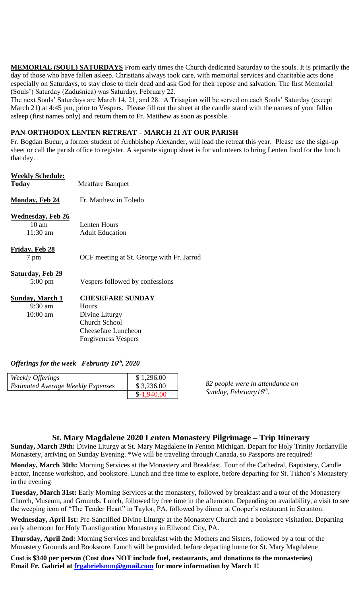**MEMORIAL (SOUL) SATURDAYS** From early times the Church dedicated Saturday to the souls. It is primarily the day of those who have fallen asleep. Christians always took care, with memorial services and charitable acts done especially on Saturdays, to stay close to their dead and ask God for their repose and salvation. The first Memorial (Souls') Saturday (Zadušnica) was Saturday, February 22.

The next Souls' Saturdays are March 14, 21, and 28. A Trisagion will be served on each Souls' Saturday (except March 21) at 4:45 pm, prior to Vespers. Please fill out the sheet at the candle stand with the names of your fallen asleep (first names only) and return them to Fr. Matthew as soon as possible.

#### **PAN-ORTHODOX LENTEN RETREAT – MARCH 21 AT OUR PARISH**

Fr. Bogdan Bucur, a former student of Archbishop Alexander, will lead the retreat this year. Please use the sign-up sheet or call the parish office to register. A separate signup sheet is for volunteers to bring Lenten food for the lunch that day.

# **Weekly Schedule: Today** Meatfare Banquet **Monday, Feb 24** Fr. Matthew in Toledo **Wednesday, Feb 26** 10 am Lenten Hours 11:30 am Adult Education **Friday, Feb 28** 7 pm OCF meeting at St. George with Fr. Jarrod **Saturday, Feb 29** 5:00 pm Vespers followed by confessions **Sunday, March 1 CHESEFARE SUNDAY** 9:30 am Hours 10:00 am Divine Liturgy Church School Cheesefare Luncheon

#### *Offerings for the week February 16th, 2020*

| Weekly Offerings                         | \$1,296.00   |
|------------------------------------------|--------------|
| <b>Estimated Average Weekly Expenses</b> | \$3,236.00   |
|                                          | $$-1,940.00$ |

Forgiveness Vespers

*82 people were in attendance on Sunday, February16th .*

#### **St. Mary Magdalene 2020 Lenten Monastery Pilgrimage – Trip Itinerary**

**Sunday, March 29th:** Divine Liturgy at St. Mary Magdalene in Fenton Michigan. Depart for Holy Trinity Jordanville Monastery, arriving on Sunday Evening. \*We will be traveling through Canada, so Passports are required!

**Monday, March 30th:** Morning Services at the Monastery and Breakfast. Tour of the Cathedral, Baptistery, Candle Factor, Incense workshop, and bookstore. Lunch and free time to explore, before departing for St. Tikhon's Monastery in the evening

**Tuesday, March 31st:** Early Morning Services at the monastery, followed by breakfast and a tour of the Monastery Church, Museum, and Grounds. Lunch, followed by free time in the afternoon. Depending on availability, a visit to see the weeping icon of "The Tender Heart" in Taylor, PA, followed by dinner at Cooper's restaurant in Scranton.

**Wednesday, April 1st:** Pre-Sanctified Divine Liturgy at the Monastery Church and a bookstore visitation. Departing early afternoon for Holy Transfiguration Monastery in Ellwood City, PA.

**Thursday, April 2nd:** Morning Services and breakfast with the Mothers and Sisters, followed by a tour of the Monastery Grounds and Bookstore. Lunch will be provided, before departing home for St. Mary Magdalene

**Cost is \$340 per person (Cost does NOT include fuel, restaurants, and donations to the monasteries) Email Fr. Gabriel at [frgabrielsmm@gmail.com](mailto:frgabrielsmm@gmail.com) for more information by March 1!**